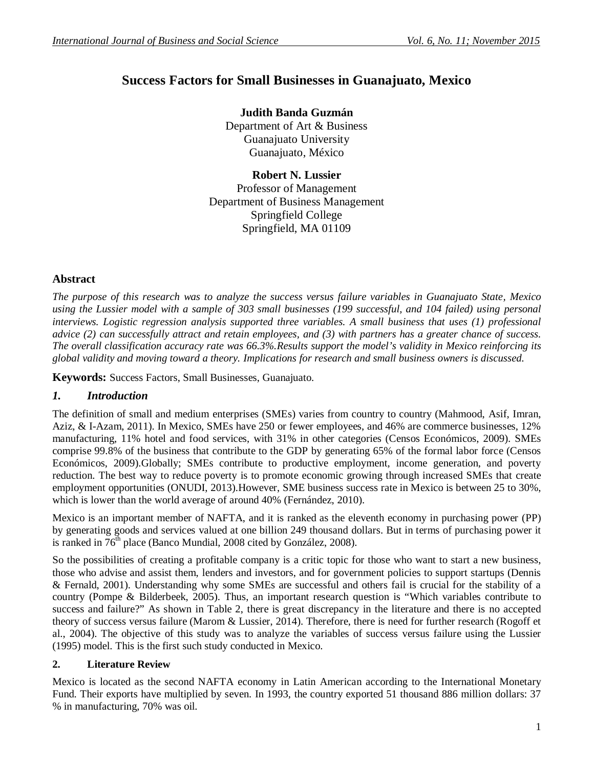# **Success Factors for Small Businesses in Guanajuato, Mexico**

**Judith Banda Guzmán** Department of Art & Business Guanajuato University Guanajuato, México

**Robert N. Lussier** Professor of Management Department of Business Management Springfield College Springfield, MA 01109

# **Abstract**

*The purpose of this research was to analyze the success versus failure variables in Guanajuato State, Mexico using the Lussier model with a sample of 303 small businesses (199 successful, and 104 failed) using personal interviews. Logistic regression analysis supported three variables. A small business that uses (1) professional advice (2) can successfully attract and retain employees, and (3) with partners has a greater chance of success. The overall classification accuracy rate was 66.3%.Results support the model's validity in Mexico reinforcing its global validity and moving toward a theory. Implications for research and small business owners is discussed.* 

**Keywords:** Success Factors, Small Businesses, Guanajuato.

# *1. Introduction*

The definition of small and medium enterprises (SMEs) varies from country to country (Mahmood, Asif, Imran, Aziz, & I-Azam, 2011). In Mexico, SMEs have 250 or fewer employees, and 46% are commerce businesses, 12% manufacturing, 11% hotel and food services, with 31% in other categories (Censos Económicos, 2009). SMEs comprise 99.8% of the business that contribute to the GDP by generating 65% of the formal labor force (Censos Económicos, 2009).Globally; SMEs contribute to productive employment, income generation, and poverty reduction. The best way to reduce poverty is to promote economic growing through increased SMEs that create employment opportunities (ONUDI, 2013).However, SME business success rate in Mexico is between 25 to 30%, which is lower than the world average of around 40% (Fernández, 2010).

Mexico is an important member of NAFTA, and it is ranked as the eleventh economy in purchasing power (PP) by generating goods and services valued at one billion 249 thousand dollars. But in terms of purchasing power it is ranked in  $76<sup>th</sup>$  place (Banco Mundial, 2008 cited by González, 2008).

So the possibilities of creating a profitable company is a critic topic for those who want to start a new business, those who advise and assist them, lenders and investors, and for government policies to support startups (Dennis & Fernald, 2001). Understanding why some SMEs are successful and others fail is crucial for the stability of a country (Pompe & Bilderbeek, 2005). Thus, an important research question is "Which variables contribute to success and failure?" As shown in Table 2, there is great discrepancy in the literature and there is no accepted theory of success versus failure (Marom & Lussier, 2014). Therefore, there is need for further research (Rogoff et al., 2004). The objective of this study was to analyze the variables of success versus failure using the Lussier (1995) model. This is the first such study conducted in Mexico.

# **2. Literature Review**

Mexico is located as the second NAFTA economy in Latin American according to the International Monetary Fund. Their exports have multiplied by seven. In 1993, the country exported 51 thousand 886 million dollars: 37 % in manufacturing, 70% was oil.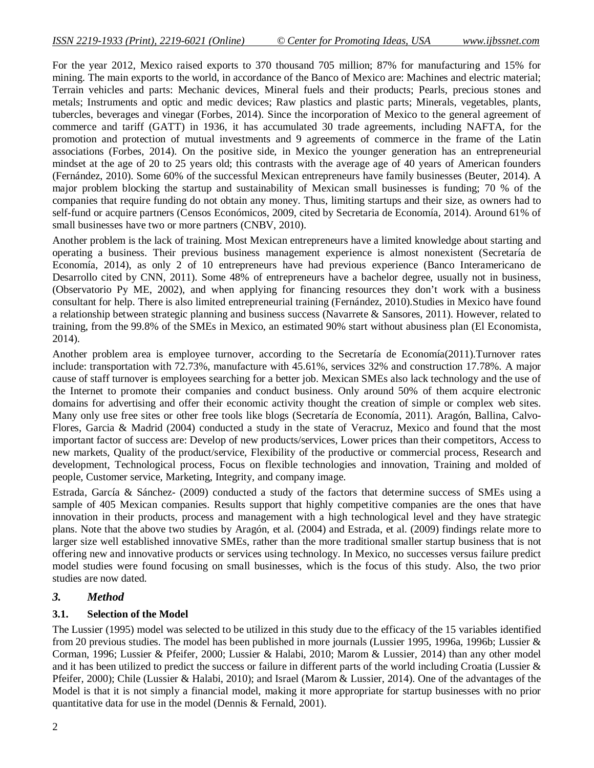For the year 2012, Mexico raised exports to 370 thousand 705 million; 87% for manufacturing and 15% for mining. The main exports to the world, in accordance of the Banco of Mexico are: Machines and electric material; Terrain vehicles and parts: Mechanic devices, Mineral fuels and their products; Pearls, precious stones and metals; Instruments and optic and medic devices; Raw plastics and plastic parts; Minerals, vegetables, plants, tubercles, beverages and vinegar (Forbes, 2014). Since the incorporation of Mexico to the general agreement of commerce and tariff (GATT) in 1936, it has accumulated 30 trade agreements, including NAFTA, for the promotion and protection of mutual investments and 9 agreements of commerce in the frame of the Latin associations (Forbes, 2014). On the positive side, in Mexico the younger generation has an entrepreneurial mindset at the age of 20 to 25 years old; this contrasts with the average age of 40 years of American founders (Fernández, 2010). Some 60% of the successful Mexican entrepreneurs have family businesses (Beuter, 2014). A major problem blocking the startup and sustainability of Mexican small businesses is funding; 70 % of the companies that require funding do not obtain any money. Thus, limiting startups and their size, as owners had to self-fund or acquire partners (Censos Económicos, 2009, cited by Secretaria de Economía, 2014). Around 61% of small businesses have two or more partners (CNBV, 2010).

Another problem is the lack of training. Most Mexican entrepreneurs have a limited knowledge about starting and operating a business. Their previous business management experience is almost nonexistent (Secretaría de Economía, 2014), as only 2 of 10 entrepreneurs have had previous experience (Banco Interamericano de Desarrollo cited by CNN, 2011). Some 48% of entrepreneurs have a bachelor degree, usually not in business, (Observatorio Py ME, 2002), and when applying for financing resources they don't work with a business consultant for help. There is also limited entrepreneurial training (Fernández, 2010).Studies in Mexico have found a relationship between strategic planning and business success (Navarrete & Sansores, 2011). However, related to training, from the 99.8% of the SMEs in Mexico, an estimated 90% start without abusiness plan (El Economista, 2014).

Another problem area is employee turnover, according to the Secretaría de Economía(2011).Turnover rates include: transportation with 72.73%, manufacture with 45.61%, services 32% and construction 17.78%. A major cause of staff turnover is employees searching for a better job. Mexican SMEs also lack technology and the use of the Internet to promote their companies and conduct business. Only around 50% of them acquire electronic domains for advertising and offer their economic activity thought the creation of simple or complex web sites. Many only use free sites or other free tools like blogs (Secretaría de Economía, 2011). Aragón, Ballina, Calvo-Flores, Garcia & Madrid (2004) conducted a study in the state of Veracruz, Mexico and found that the most important factor of success are: Develop of new products/services, Lower prices than their competitors, Access to new markets, Quality of the product/service, Flexibility of the productive or commercial process, Research and development, Technological process, Focus on flexible technologies and innovation, Training and molded of people, Customer service, Marketing, Integrity, and company image.

Estrada, García & Sánchez- (2009) conducted a study of the factors that determine success of SMEs using a sample of 405 Mexican companies. Results support that highly competitive companies are the ones that have innovation in their products, process and management with a high technological level and they have strategic plans. Note that the above two studies by Aragón, et al. (2004) and Estrada, et al. (2009) findings relate more to larger size well established innovative SMEs, rather than the more traditional smaller startup business that is not offering new and innovative products or services using technology. In Mexico, no successes versus failure predict model studies were found focusing on small businesses, which is the focus of this study. Also, the two prior studies are now dated.

### *3. Method*

### **3.1. Selection of the Model**

The Lussier (1995) model was selected to be utilized in this study due to the efficacy of the 15 variables identified from 20 previous studies. The model has been published in more journals (Lussier 1995, 1996a, 1996b; Lussier  $\&$ Corman, 1996; Lussier & Pfeifer, 2000; Lussier & Halabi, 2010; Marom & Lussier, 2014) than any other model and it has been utilized to predict the success or failure in different parts of the world including Croatia (Lussier & Pfeifer, 2000); Chile (Lussier & Halabi, 2010); and Israel (Marom & Lussier, 2014). One of the advantages of the Model is that it is not simply a financial model, making it more appropriate for startup businesses with no prior quantitative data for use in the model (Dennis & Fernald, 2001).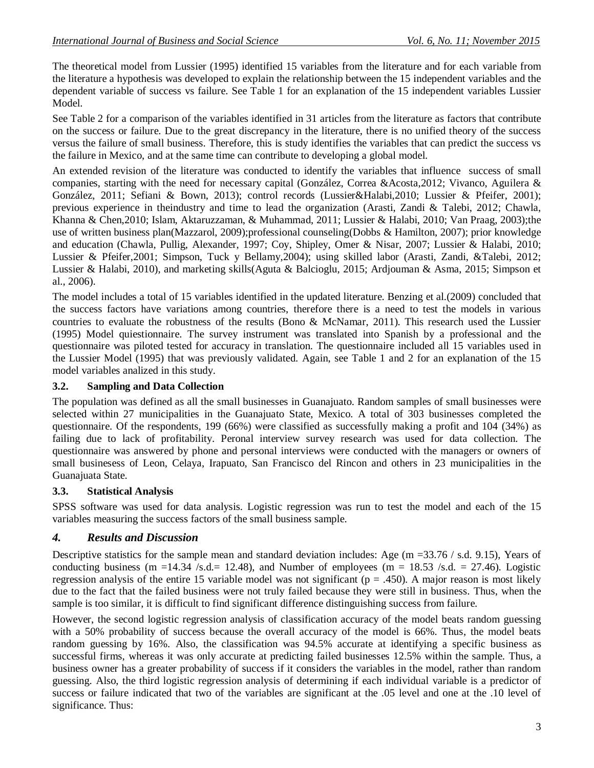The theoretical model from Lussier (1995) identified 15 variables from the literature and for each variable from the literature a hypothesis was developed to explain the relationship between the 15 independent variables and the dependent variable of success vs failure. See Table 1 for an explanation of the 15 independent variables Lussier Model.

See Table 2 for a comparison of the variables identified in 31 articles from the literature as factors that contribute on the success or failure. Due to the great discrepancy in the literature, there is no unified theory of the success versus the failure of small business. Therefore, this is study identifies the variables that can predict the success vs the failure in Mexico, and at the same time can contribute to developing a global model.

An extended revision of the literature was conducted to identify the variables that influence success of small companies, starting with the need for necessary capital (González, Correa &Acosta,2012; Vivanco, Aguilera & González, 2011; Sefiani & Bown, 2013); control records (Lussier&Halabi,2010; Lussier & Pfeifer, 2001); previous experience in theindustry and time to lead the organization (Arasti, Zandi & Talebi, 2012; Chawla, Khanna & Chen,2010; Islam, Aktaruzzaman, & Muhammad, 2011; Lussier & Halabi, 2010; Van Praag, 2003);the use of written business plan(Mazzarol, 2009);professional counseling(Dobbs & Hamilton, 2007); prior knowledge and education (Chawla, Pullig, Alexander, 1997; Coy, Shipley, Omer & Nisar, 2007; Lussier & Halabi, 2010; Lussier & Pfeifer,2001; Simpson, Tuck y Bellamy,2004); using skilled labor (Arasti, Zandi, &Talebi, 2012; Lussier & Halabi, 2010), and marketing skills(Aguta & Balcioglu, 2015; Ardjouman & Asma, 2015; Simpson et al., 2006).

The model includes a total of 15 variables identified in the updated literature. Benzing et al.(2009) concluded that the success factors have variations among countries, therefore there is a need to test the models in various countries to evaluate the robustness of the results (Bono & McNamar, 2011). This research used the Lussier (1995) Model quiestionnaire. The survey instrument was translated into Spanish by a professional and the questionnaire was piloted tested for accuracy in translation. The questionnaire included all 15 variables used in the Lussier Model (1995) that was previously validated. Again, see Table 1 and 2 for an explanation of the 15 model variables analized in this study.

#### **3.2. Sampling and Data Collection**

The population was defined as all the small businesses in Guanajuato. Random samples of small businesses were selected within 27 municipalities in the Guanajuato State, Mexico. A total of 303 businesses completed the questionnaire. Of the respondents, 199 (66%) were classified as successfully making a profit and 104 (34%) as failing due to lack of profitability. Peronal interview survey research was used for data collection. The questionnaire was answered by phone and personal interviews were conducted with the managers or owners of small businesess of Leon, Celaya, Irapuato, San Francisco del Rincon and others in 23 municipalities in the Guanajuata State.

### **3.3. Statistical Analysis**

SPSS software was used for data analysis. Logistic regression was run to test the model and each of the 15 variables measuring the success factors of the small business sample.

### *4. Results and Discussion*

Descriptive statistics for the sample mean and standard deviation includes: Age (m =33.76 / s.d. 9.15), Years of conducting business (m = 14.34 /s.d. = 12.48), and Number of employees (m = 18.53 /s.d. = 27.46). Logistic regression analysis of the entire 15 variable model was not significant ( $p = .450$ ). A major reason is most likely due to the fact that the failed business were not truly failed because they were still in business. Thus, when the sample is too similar, it is difficult to find significant difference distinguishing success from failure.

However, the second logistic regression analysis of classification accuracy of the model beats random guessing with a 50% probability of success because the overall accuracy of the model is 66%. Thus, the model beats random guessing by 16%. Also, the classification was 94.5% accurate at identifying a specific business as successful firms, whereas it was only accurate at predicting failed businesses 12.5% within the sample. Thus, a business owner has a greater probability of success if it considers the variables in the model, rather than random guessing. Also, the third logistic regression analysis of determining if each individual variable is a predictor of success or failure indicated that two of the variables are significant at the .05 level and one at the .10 level of significance. Thus: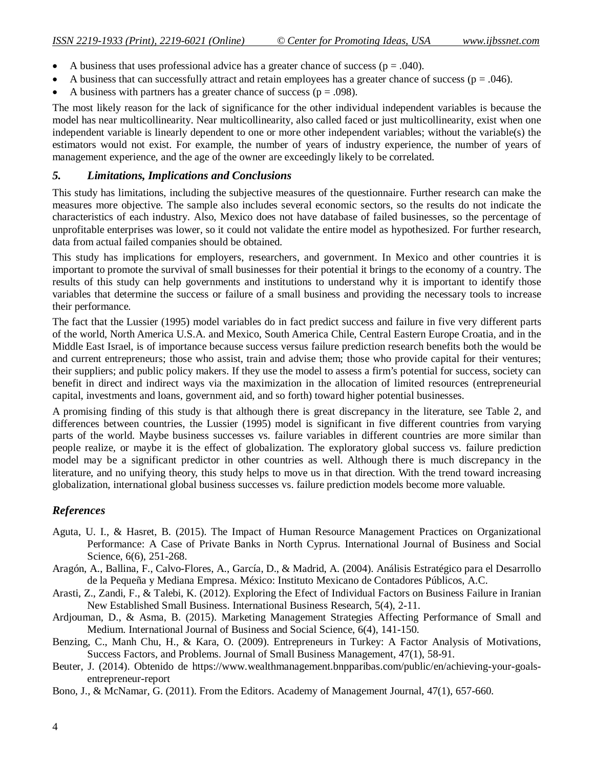- A business that uses professional advice has a greater chance of success ( $p = .040$ ).
- A business that can successfully attract and retain employees has a greater chance of success ( $p = .046$ ).
- A business with partners has a greater chance of success ( $p = .098$ ).

The most likely reason for the lack of significance for the other individual independent variables is because the model has near multicollinearity. Near multicollinearity, also called faced or just multicollinearity, exist when one independent variable is linearly dependent to one or more other independent variables; without the variable(s) the estimators would not exist. For example, the number of years of industry experience, the number of years of management experience, and the age of the owner are exceedingly likely to be correlated.

#### *5. Limitations, Implications and Conclusions*

This study has limitations, including the subjective measures of the questionnaire. Further research can make the measures more objective. The sample also includes several economic sectors, so the results do not indicate the characteristics of each industry. Also, Mexico does not have database of failed businesses, so the percentage of unprofitable enterprises was lower, so it could not validate the entire model as hypothesized. For further research, data from actual failed companies should be obtained.

This study has implications for employers, researchers, and government. In Mexico and other countries it is important to promote the survival of small businesses for their potential it brings to the economy of a country. The results of this study can help governments and institutions to understand why it is important to identify those variables that determine the success or failure of a small business and providing the necessary tools to increase their performance.

The fact that the Lussier (1995) model variables do in fact predict success and failure in five very different parts of the world, North America U.S.A. and Mexico, South America Chile, Central Eastern Europe Croatia, and in the Middle East Israel, is of importance because success versus failure prediction research benefits both the would be and current entrepreneurs; those who assist, train and advise them; those who provide capital for their ventures; their suppliers; and public policy makers. If they use the model to assess a firm's potential for success, society can benefit in direct and indirect ways via the maximization in the allocation of limited resources (entrepreneurial capital, investments and loans, government aid, and so forth) toward higher potential businesses.

A promising finding of this study is that although there is great discrepancy in the literature, see Table 2, and differences between countries, the Lussier (1995) model is significant in five different countries from varying parts of the world. Maybe business successes vs. failure variables in different countries are more similar than people realize, or maybe it is the effect of globalization. The exploratory global success vs. failure prediction model may be a significant predictor in other countries as well. Although there is much discrepancy in the literature, and no unifying theory, this study helps to move us in that direction. With the trend toward increasing globalization, international global business successes vs. failure prediction models become more valuable.

### *References*

- Aguta, U. I., & Hasret, B. (2015). The Impact of Human Resource Management Practices on Organizational Performance: A Case of Private Banks in North Cyprus. International Journal of Business and Social Science, 6(6), 251-268.
- Aragón, A., Ballina, F., Calvo-Flores, A., García, D., & Madrid, A. (2004). Análisis Estratégico para el Desarrollo de la Pequeña y Mediana Empresa. México: Instituto Mexicano de Contadores Públicos, A.C.
- Arasti, Z., Zandi, F., & Talebi, K. (2012). Exploring the Efect of Individual Factors on Business Failure in Iranian New Established Small Business. International Business Research, 5(4), 2-11.
- Ardjouman, D., & Asma, B. (2015). Marketing Management Strategies Affecting Performance of Small and Medium. International Journal of Business and Social Science, 6(4), 141-150.
- Benzing, C., Manh Chu, H., & Kara, O. (2009). Entrepreneurs in Turkey: A Factor Analysis of Motivations, Success Factors, and Problems. Journal of Small Business Management, 47(1), 58-91.
- Beuter, J. (2014). Obtenido de https://www.wealthmanagement.bnpparibas.com/public/en/achieving-your-goalsentrepreneur-report
- Bono, J., & McNamar, G. (2011). From the Editors. Academy of Management Journal, 47(1), 657-660.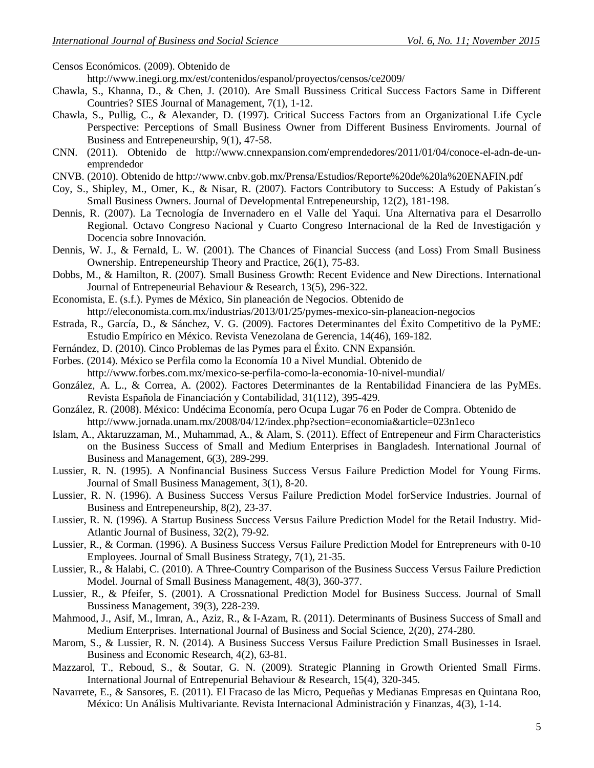Censos Económicos. (2009). Obtenido de

http://www.inegi.org.mx/est/contenidos/espanol/proyectos/censos/ce2009/

- Chawla, S., Khanna, D., & Chen, J. (2010). Are Small Bussiness Critical Success Factors Same in Different Countries? SIES Journal of Management, 7(1), 1-12.
- Chawla, S., Pullig, C., & Alexander, D. (1997). Critical Success Factors from an Organizational Life Cycle Perspective: Perceptions of Small Business Owner from Different Business Enviroments. Journal of Business and Entrepeneurship, 9(1), 47-58.
- CNN. (2011). Obtenido de http://www.cnnexpansion.com/emprendedores/2011/01/04/conoce-el-adn-de-unemprendedor
- CNVB. (2010). Obtenido de http://www.cnbv.gob.mx/Prensa/Estudios/Reporte%20de%20la%20ENAFIN.pdf
- Coy, S., Shipley, M., Omer, K., & Nisar, R. (2007). Factors Contributory to Success: A Estudy of Pakistan´s Small Business Owners. Journal of Developmental Entrepeneurship, 12(2), 181-198.
- Dennis, R. (2007). La Tecnología de Invernadero en el Valle del Yaqui. Una Alternativa para el Desarrollo Regional. Octavo Congreso Nacional y Cuarto Congreso Internacional de la Red de Investigación y Docencia sobre Innovación.
- Dennis, W. J., & Fernald, L. W. (2001). The Chances of Financial Success (and Loss) From Small Business Ownership. Entrepeneurship Theory and Practice, 26(1), 75-83.
- Dobbs, M., & Hamilton, R. (2007). Small Business Growth: Recent Evidence and New Directions. International Journal of Entrepeneurial Behaviour & Research, 13(5), 296-322.
- Economista, E. (s.f.). Pymes de México, Sin planeación de Negocios. Obtenido de http://eleconomista.com.mx/industrias/2013/01/25/pymes-mexico-sin-planeacion-negocios
- Estrada, R., García, D., & Sánchez, V. G. (2009). Factores Determinantes del Éxito Competitivo de la PyME: Estudio Empírico en México. Revista Venezolana de Gerencia, 14(46), 169-182.
- Fernández, D. (2010). Cinco Problemas de las Pymes para el Éxito. CNN Expansión.
- Forbes. (2014). México se Perfila como la Economía 10 a Nivel Mundial. Obtenido de http://www.forbes.com.mx/mexico-se-perfila-como-la-economia-10-nivel-mundial/
- González, A. L., & Correa, A. (2002). Factores Determinantes de la Rentabilidad Financiera de las PyMEs. Revista Española de Financiación y Contabilidad, 31(112), 395-429.
- González, R. (2008). México: Undécima Economía, pero Ocupa Lugar 76 en Poder de Compra. Obtenido de http://www.jornada.unam.mx/2008/04/12/index.php?section=economia&article=023n1eco
- Islam, A., Aktaruzzaman, M., Muhammad, A., & Alam, S. (2011). Effect of Entrepeneur and Firm Characteristics on the Business Success of Small and Medium Enterprises in Bangladesh. International Journal of Business and Management, 6(3), 289-299.
- Lussier, R. N. (1995). A Nonfinancial Business Success Versus Failure Prediction Model for Young Firms. Journal of Small Business Management, 3(1), 8-20.
- Lussier, R. N. (1996). A Business Success Versus Failure Prediction Model forService Industries. Journal of Business and Entrepeneurship, 8(2), 23-37.
- Lussier, R. N. (1996). A Startup Business Success Versus Failure Prediction Model for the Retail Industry. Mid-Atlantic Journal of Business, 32(2), 79-92.
- Lussier, R., & Corman. (1996). A Business Success Versus Failure Prediction Model for Entrepreneurs with 0-10 Employees. Journal of Small Business Strategy, 7(1), 21-35.
- Lussier, R., & Halabi, C. (2010). A Three-Country Comparison of the Business Success Versus Failure Prediction Model. Journal of Small Business Management, 48(3), 360-377.
- Lussier, R., & Pfeifer, S. (2001). A Crossnational Prediction Model for Business Success. Journal of Small Bussiness Management, 39(3), 228-239.
- Mahmood, J., Asif, M., Imran, A., Aziz, R., & I-Azam, R. (2011). Determinants of Business Success of Small and Medium Enterprises. International Journal of Business and Social Science, 2(20), 274-280.
- Marom, S., & Lussier, R. N. (2014). A Business Success Versus Failure Prediction Small Businesses in Israel. Business and Economic Research, 4(2), 63-81.
- Mazzarol, T., Reboud, S., & Soutar, G. N. (2009). Strategic Planning in Growth Oriented Small Firms. International Journal of Entrepenurial Behaviour & Research, 15(4), 320-345.
- Navarrete, E., & Sansores, E. (2011). El Fracaso de las Micro, Pequeñas y Medianas Empresas en Quintana Roo, México: Un Análisis Multivariante. Revista Internacional Administración y Finanzas, 4(3), 1-14.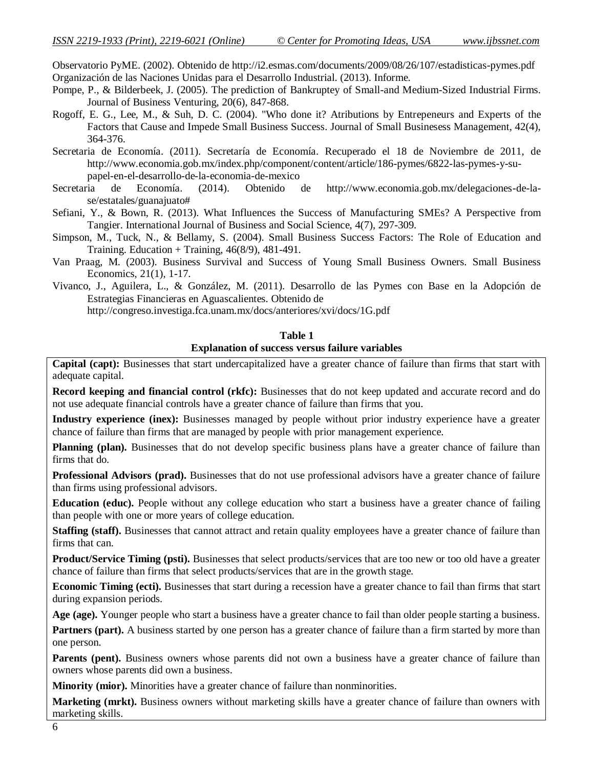Observatorio PyME. (2002). Obtenido de http://i2.esmas.com/documents/2009/08/26/107/estadisticas-pymes.pdf Organización de las Naciones Unidas para el Desarrollo Industrial. (2013). Informe.

- Pompe, P., & Bilderbeek, J. (2005). The prediction of Bankruptey of Small-and Medium-Sized Industrial Firms. Journal of Business Venturing, 20(6), 847-868.
- Rogoff, E. G., Lee, M., & Suh, D. C. (2004). "Who done it? Atributions by Entrepeneurs and Experts of the Factors that Cause and Impede Small Business Success. Journal of Small Businesess Management, 42(4), 364-376.
- Secretaria de Economía. (2011). Secretaría de Economía. Recuperado el 18 de Noviembre de 2011, de http://www.economia.gob.mx/index.php/component/content/article/186-pymes/6822-las-pymes-y-supapel-en-el-desarrollo-de-la-economia-de-mexico
- Secretaria de Economía. (2014). Obtenido de http://www.economia.gob.mx/delegaciones-de-lase/estatales/guanajuato#
- Sefiani, Y., & Bown, R. (2013). What Influences the Success of Manufacturing SMEs? A Perspective from Tangier. International Journal of Business and Social Science, 4(7), 297-309.
- Simpson, M., Tuck, N., & Bellamy, S. (2004). Small Business Success Factors: The Role of Education and Training. Education + Training,  $46(8/9)$ ,  $481-491$ .
- Van Praag, M. (2003). Business Survival and Success of Young Small Business Owners. Small Business Economics, 21(1), 1-17.
- Vivanco, J., Aguilera, L., & González, M. (2011). Desarrollo de las Pymes con Base en la Adopción de Estrategias Financieras en Aguascalientes. Obtenido de http://congreso.investiga.fca.unam.mx/docs/anteriores/xvi/docs/1G.pdf

#### **Table 1**

#### **Explanation of success versus failure variables**

**Capital (capt):** Businesses that start undercapitalized have a greater chance of failure than firms that start with adequate capital.

**Record keeping and financial control (rkfc):** Businesses that do not keep updated and accurate record and do not use adequate financial controls have a greater chance of failure than firms that you.

**Industry experience (inex):** Businesses managed by people without prior industry experience have a greater chance of failure than firms that are managed by people with prior management experience.

**Planning (plan).** Businesses that do not develop specific business plans have a greater chance of failure than firms that do.

**Professional Advisors (prad).** Businesses that do not use professional advisors have a greater chance of failure than firms using professional advisors.

**Education (educ).** People without any college education who start a business have a greater chance of failing than people with one or more years of college education.

**Staffing (staff).** Businesses that cannot attract and retain quality employees have a greater chance of failure than firms that can.

**Product/Service Timing (psti).** Businesses that select products/services that are too new or too old have a greater chance of failure than firms that select products/services that are in the growth stage.

**Economic Timing (ecti).** Businesses that start during a recession have a greater chance to fail than firms that start during expansion periods.

**Age (age).** Younger people who start a business have a greater chance to fail than older people starting a business.

**Partners (part).** A business started by one person has a greater chance of failure than a firm started by more than one person.

**Parents (pent).** Business owners whose parents did not own a business have a greater chance of failure than owners whose parents did own a business.

**Minority (mior).** Minorities have a greater chance of failure than nonminorities.

**Marketing (mrkt).** Business owners without marketing skills have a greater chance of failure than owners with marketing skills.